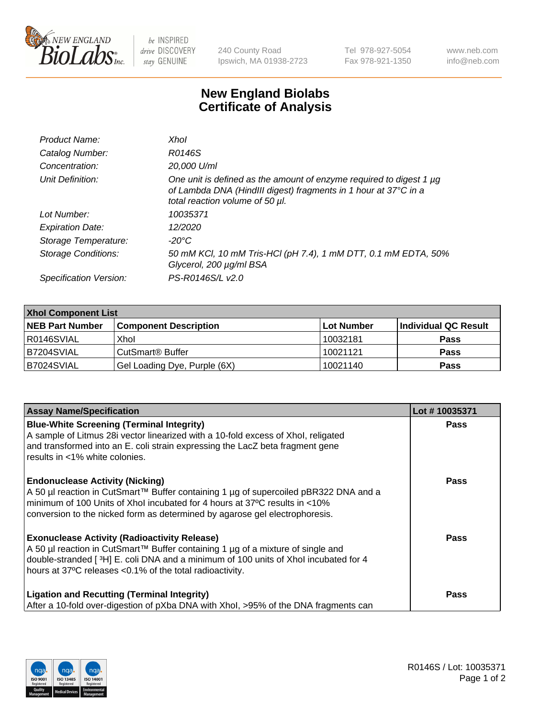

 $be$  INSPIRED drive DISCOVERY stay GENUINE

240 County Road Ipswich, MA 01938-2723 Tel 978-927-5054 Fax 978-921-1350 www.neb.com info@neb.com

## **New England Biolabs Certificate of Analysis**

| Product Name:              | Xhol                                                                                                                                                                      |
|----------------------------|---------------------------------------------------------------------------------------------------------------------------------------------------------------------------|
| Catalog Number:            | R0146S                                                                                                                                                                    |
| Concentration:             | 20,000 U/ml                                                                                                                                                               |
| Unit Definition:           | One unit is defined as the amount of enzyme required to digest 1 µg<br>of Lambda DNA (HindIII digest) fragments in 1 hour at 37°C in a<br>total reaction volume of 50 µl. |
| Lot Number:                | 10035371                                                                                                                                                                  |
| <b>Expiration Date:</b>    | 12/2020                                                                                                                                                                   |
| Storage Temperature:       | -20°C                                                                                                                                                                     |
| <b>Storage Conditions:</b> | 50 mM KCl, 10 mM Tris-HCl (pH 7.4), 1 mM DTT, 0.1 mM EDTA, 50%<br>Glycerol, 200 µg/ml BSA                                                                                 |
| Specification Version:     | PS-R0146S/L v2.0                                                                                                                                                          |

| <b>Xhol Component List</b> |                              |             |                      |  |  |
|----------------------------|------------------------------|-------------|----------------------|--|--|
| <b>NEB Part Number</b>     | <b>Component Description</b> | ∣Lot Number | Individual QC Result |  |  |
| R0146SVIAL                 | Xhol                         | 10032181    | <b>Pass</b>          |  |  |
| IB7204SVIAL                | CutSmart® Buffer             | 10021121    | <b>Pass</b>          |  |  |
| B7024SVIAL                 | Gel Loading Dye, Purple (6X) | 10021140    | <b>Pass</b>          |  |  |

| <b>Assay Name/Specification</b>                                                                                                                                                                                                    | Lot #10035371 |
|------------------------------------------------------------------------------------------------------------------------------------------------------------------------------------------------------------------------------------|---------------|
| <b>Blue-White Screening (Terminal Integrity)</b><br>A sample of Litmus 28i vector linearized with a 10-fold excess of Xhol, religated<br>and transformed into an E. coli strain expressing the LacZ beta fragment gene             | <b>Pass</b>   |
| results in <1% white colonies.                                                                                                                                                                                                     |               |
| <b>Endonuclease Activity (Nicking)</b><br>A 50 µl reaction in CutSmart™ Buffer containing 1 µg of supercoiled pBR322 DNA and a                                                                                                     | <b>Pass</b>   |
| minimum of 100 Units of Xhol incubated for 4 hours at 37°C results in <10%<br>conversion to the nicked form as determined by agarose gel electrophoresis.                                                                          |               |
| <b>Exonuclease Activity (Radioactivity Release)</b>                                                                                                                                                                                | Pass          |
| A 50 µl reaction in CutSmart™ Buffer containing 1 µg of a mixture of single and<br>double-stranded [3H] E. coli DNA and a minimum of 100 units of Xhol incubated for 4<br>hours at 37°C releases <0.1% of the total radioactivity. |               |
| <b>Ligation and Recutting (Terminal Integrity)</b>                                                                                                                                                                                 | <b>Pass</b>   |
| After a 10-fold over-digestion of pXba DNA with Xhol, >95% of the DNA fragments can                                                                                                                                                |               |